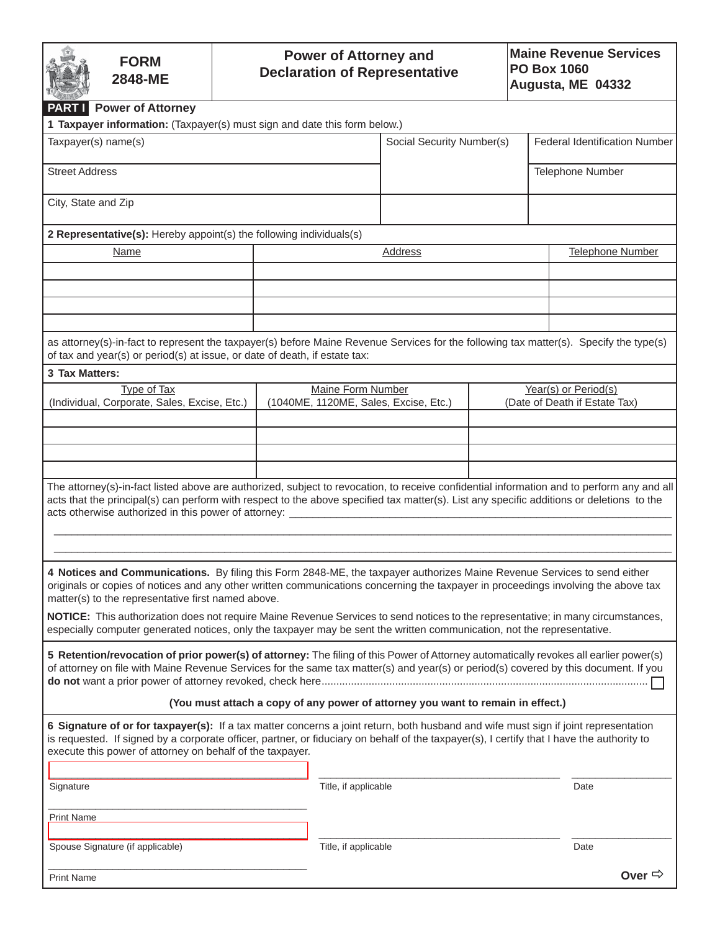| <b>FORM</b><br>2848-ME                                                                                                                                                                                                                                                                                                                                                      | <b>Power of Attorney and</b><br><b>Declaration of Representative</b> |                                                                                 |                           |                                                       | <b>Maine Revenue Services</b><br><b>PO Box 1060</b><br>Augusta, ME 04332 |                               |  |  |
|-----------------------------------------------------------------------------------------------------------------------------------------------------------------------------------------------------------------------------------------------------------------------------------------------------------------------------------------------------------------------------|----------------------------------------------------------------------|---------------------------------------------------------------------------------|---------------------------|-------------------------------------------------------|--------------------------------------------------------------------------|-------------------------------|--|--|
| <b>PART Power of Attorney</b>                                                                                                                                                                                                                                                                                                                                               |                                                                      |                                                                                 |                           |                                                       |                                                                          |                               |  |  |
| 1 Taxpayer information: (Taxpayer(s) must sign and date this form below.)<br>Taxpayer(s) name(s)                                                                                                                                                                                                                                                                            |                                                                      |                                                                                 | Social Security Number(s) |                                                       |                                                                          | Federal Identification Number |  |  |
| <b>Street Address</b>                                                                                                                                                                                                                                                                                                                                                       |                                                                      |                                                                                 |                           |                                                       | Telephone Number                                                         |                               |  |  |
| City, State and Zip                                                                                                                                                                                                                                                                                                                                                         |                                                                      |                                                                                 |                           |                                                       |                                                                          |                               |  |  |
| 2 Representative(s): Hereby appoint(s) the following individuals(s)                                                                                                                                                                                                                                                                                                         |                                                                      |                                                                                 |                           |                                                       |                                                                          |                               |  |  |
| Name                                                                                                                                                                                                                                                                                                                                                                        |                                                                      |                                                                                 | Address                   |                                                       | <b>Telephone Number</b>                                                  |                               |  |  |
|                                                                                                                                                                                                                                                                                                                                                                             |                                                                      |                                                                                 |                           |                                                       |                                                                          |                               |  |  |
|                                                                                                                                                                                                                                                                                                                                                                             |                                                                      |                                                                                 |                           |                                                       |                                                                          |                               |  |  |
|                                                                                                                                                                                                                                                                                                                                                                             |                                                                      |                                                                                 |                           |                                                       |                                                                          |                               |  |  |
| as attorney(s)-in-fact to represent the taxpayer(s) before Maine Revenue Services for the following tax matter(s). Specify the type(s)<br>of tax and year(s) or period(s) at issue, or date of death, if estate tax:                                                                                                                                                        |                                                                      |                                                                                 |                           |                                                       |                                                                          |                               |  |  |
| 3 Tax Matters:                                                                                                                                                                                                                                                                                                                                                              |                                                                      |                                                                                 |                           |                                                       |                                                                          |                               |  |  |
| <b>Type of Tax</b><br>(Individual, Corporate, Sales, Excise, Etc.)                                                                                                                                                                                                                                                                                                          |                                                                      | <b>Maine Form Number</b><br>(1040ME, 1120ME, Sales, Excise, Etc.)               |                           | Year(s) or Period(s)<br>(Date of Death if Estate Tax) |                                                                          |                               |  |  |
|                                                                                                                                                                                                                                                                                                                                                                             |                                                                      |                                                                                 |                           |                                                       |                                                                          |                               |  |  |
|                                                                                                                                                                                                                                                                                                                                                                             |                                                                      |                                                                                 |                           |                                                       |                                                                          |                               |  |  |
|                                                                                                                                                                                                                                                                                                                                                                             |                                                                      |                                                                                 |                           |                                                       |                                                                          |                               |  |  |
|                                                                                                                                                                                                                                                                                                                                                                             |                                                                      |                                                                                 |                           |                                                       |                                                                          |                               |  |  |
| The attorney(s)-in-fact listed above are authorized, subject to revocation, to receive confidential information and to perform any and all<br>acts that the principal(s) can perform with respect to the above specified tax matter(s). List any specific additions or deletions to the<br>acts otherwise authorized in this power of attorney: ___________________________ |                                                                      |                                                                                 |                           |                                                       |                                                                          |                               |  |  |
|                                                                                                                                                                                                                                                                                                                                                                             |                                                                      |                                                                                 |                           |                                                       |                                                                          |                               |  |  |
| 4 Notices and Communications. By filing this Form 2848-ME, the taxpayer authorizes Maine Revenue Services to send either<br>originals or copies of notices and any other written communications concerning the taxpayer in proceedings involving the above tax<br>matter(s) to the representative first named above.                                                        |                                                                      |                                                                                 |                           |                                                       |                                                                          |                               |  |  |
| NOTICE: This authorization does not require Maine Revenue Services to send notices to the representative; in many circumstances,<br>especially computer generated notices, only the taxpayer may be sent the written communication, not the representative.                                                                                                                 |                                                                      |                                                                                 |                           |                                                       |                                                                          |                               |  |  |
| 5 Retention/revocation of prior power(s) of attorney: The filing of this Power of Attorney automatically revokes all earlier power(s)<br>of attorney on file with Maine Revenue Services for the same tax matter(s) and year(s) or period(s) covered by this document. If you                                                                                               |                                                                      |                                                                                 |                           |                                                       |                                                                          |                               |  |  |
|                                                                                                                                                                                                                                                                                                                                                                             |                                                                      | (You must attach a copy of any power of attorney you want to remain in effect.) |                           |                                                       |                                                                          |                               |  |  |
| 6 Signature of or for taxpayer(s): If a tax matter concerns a joint return, both husband and wife must sign if joint representation<br>is requested. If signed by a corporate officer, partner, or fiduciary on behalf of the taxpayer(s), I certify that I have the authority to<br>execute this power of attorney on behalf of the taxpayer.                              |                                                                      |                                                                                 |                           |                                                       |                                                                          |                               |  |  |
| Signature                                                                                                                                                                                                                                                                                                                                                                   |                                                                      | Title, if applicable                                                            |                           |                                                       |                                                                          | Date                          |  |  |
| <b>Print Name</b>                                                                                                                                                                                                                                                                                                                                                           |                                                                      |                                                                                 |                           |                                                       |                                                                          |                               |  |  |
| Spouse Signature (if applicable)                                                                                                                                                                                                                                                                                                                                            |                                                                      | Title, if applicable                                                            |                           |                                                       |                                                                          | Date                          |  |  |
| <b>Print Name</b>                                                                                                                                                                                                                                                                                                                                                           |                                                                      |                                                                                 |                           |                                                       |                                                                          | Over $\Rightarrow$            |  |  |